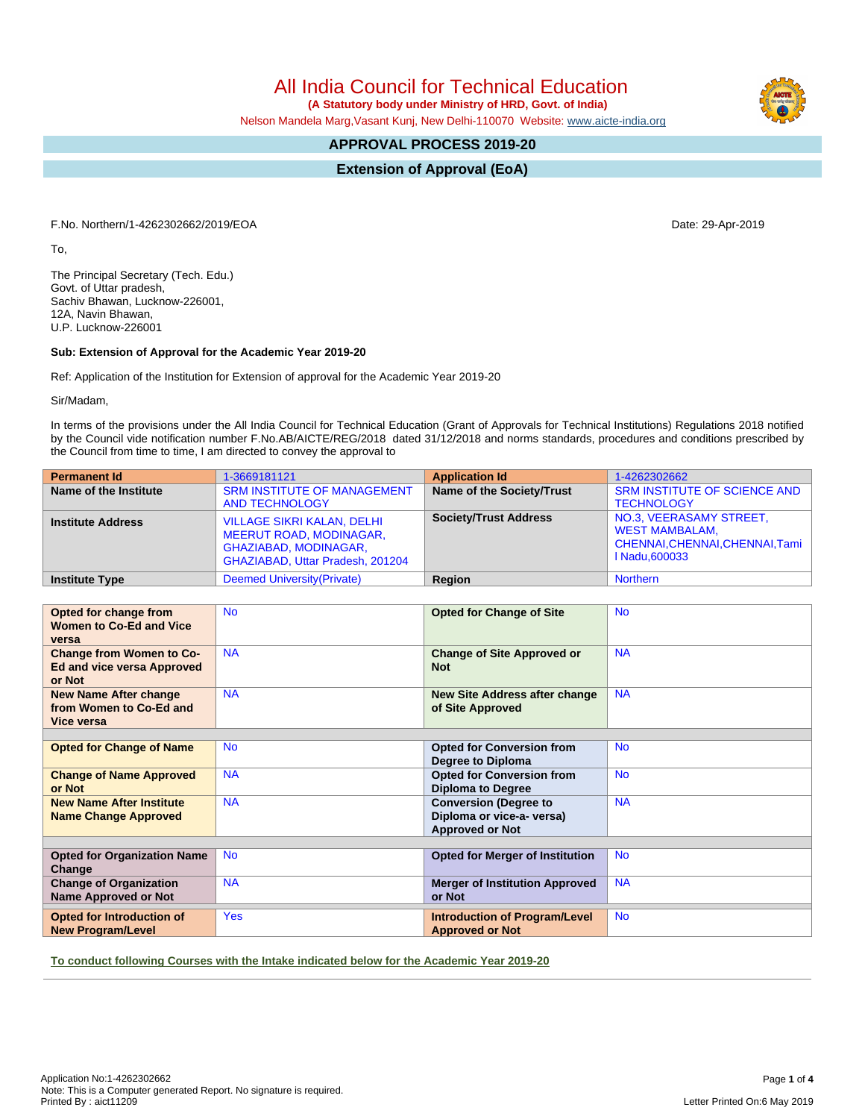All India Council for Technical Education

 **(A Statutory body under Ministry of HRD, Govt. of India)**

Nelson Mandela Marg,Vasant Kunj, New Delhi-110070 Website: [www.aicte-india.org](http://www.aicte-india.org)

# **APPROVAL PROCESS 2019-20**

**Extension of Approval (EoA)**

F.No. Northern/1-4262302662/2019/EOA Date: 29-Apr-2019

To,

The Principal Secretary (Tech. Edu.) Govt. of Uttar pradesh, Sachiv Bhawan, Lucknow-226001, 12A, Navin Bhawan, U.P. Lucknow-226001

### **Sub: Extension of Approval for the Academic Year 2019-20**

Ref: Application of the Institution for Extension of approval for the Academic Year 2019-20

Sir/Madam,

In terms of the provisions under the All India Council for Technical Education (Grant of Approvals for Technical Institutions) Regulations 2018 notified by the Council vide notification number F.No.AB/AICTE/REG/2018 dated 31/12/2018 and norms standards, procedures and conditions prescribed by the Council from time to time, I am directed to convey the approval to

| <b>Permanent Id</b>      | 1-3669181121                                                                                                                            | <b>Application Id</b>        | 1-4262302662                                                                                         |
|--------------------------|-----------------------------------------------------------------------------------------------------------------------------------------|------------------------------|------------------------------------------------------------------------------------------------------|
| Name of the Institute    | <b>SRM INSTITUTE OF MANAGEMENT</b><br><b>AND TECHNOLOGY</b>                                                                             | Name of the Society/Trust    | <b>SRM INSTITUTE OF SCIENCE AND</b><br><b>TECHNOLOGY</b>                                             |
| <b>Institute Address</b> | <b>VILLAGE SIKRI KALAN, DELHI</b><br><b>MEERUT ROAD, MODINAGAR,</b><br><b>GHAZIABAD, MODINAGAR,</b><br>GHAZIABAD, Uttar Pradesh, 201204 | <b>Society/Trust Address</b> | NO.3, VEERASAMY STREET,<br><b>WEST MAMBALAM.</b><br>CHENNAI, CHENNAI, CHENNAI, Tami<br>I Nadu.600033 |
| <b>Institute Type</b>    | Deemed University (Private)                                                                                                             | Region                       | <b>Northern</b>                                                                                      |

| Opted for change from<br><b>Women to Co-Ed and Vice</b><br>versa        | <b>No</b>  | <b>Opted for Change of Site</b>                                                     | <b>No</b> |  |  |  |  |  |
|-------------------------------------------------------------------------|------------|-------------------------------------------------------------------------------------|-----------|--|--|--|--|--|
| <b>Change from Women to Co-</b><br>Ed and vice versa Approved<br>or Not | <b>NA</b>  | <b>Change of Site Approved or</b><br><b>Not</b>                                     | <b>NA</b> |  |  |  |  |  |
| <b>New Name After change</b><br>from Women to Co-Ed and<br>Vice versa   | <b>NA</b>  | <b>New Site Address after change</b><br>of Site Approved                            | <b>NA</b> |  |  |  |  |  |
| <b>Opted for Change of Name</b>                                         | <b>No</b>  | <b>Opted for Conversion from</b><br>Degree to Diploma                               | <b>No</b> |  |  |  |  |  |
| <b>Change of Name Approved</b><br>or Not                                | <b>NA</b>  | <b>Opted for Conversion from</b><br><b>Diploma to Degree</b>                        | <b>No</b> |  |  |  |  |  |
| <b>New Name After Institute</b><br><b>Name Change Approved</b>          | <b>NA</b>  | <b>Conversion (Degree to</b><br>Diploma or vice-a- versa)<br><b>Approved or Not</b> | <b>NA</b> |  |  |  |  |  |
|                                                                         |            |                                                                                     |           |  |  |  |  |  |
| <b>Opted for Organization Name</b><br>Change                            | <b>No</b>  | <b>Opted for Merger of Institution</b>                                              | <b>No</b> |  |  |  |  |  |
| <b>Change of Organization</b><br><b>Name Approved or Not</b>            | <b>NA</b>  | <b>Merger of Institution Approved</b><br>or Not                                     | <b>NA</b> |  |  |  |  |  |
| Opted for Introduction of<br><b>New Program/Level</b>                   | <b>Yes</b> | <b>Introduction of Program/Level</b><br><b>Approved or Not</b>                      | <b>No</b> |  |  |  |  |  |

**To conduct following Courses with the Intake indicated below for the Academic Year 2019-20**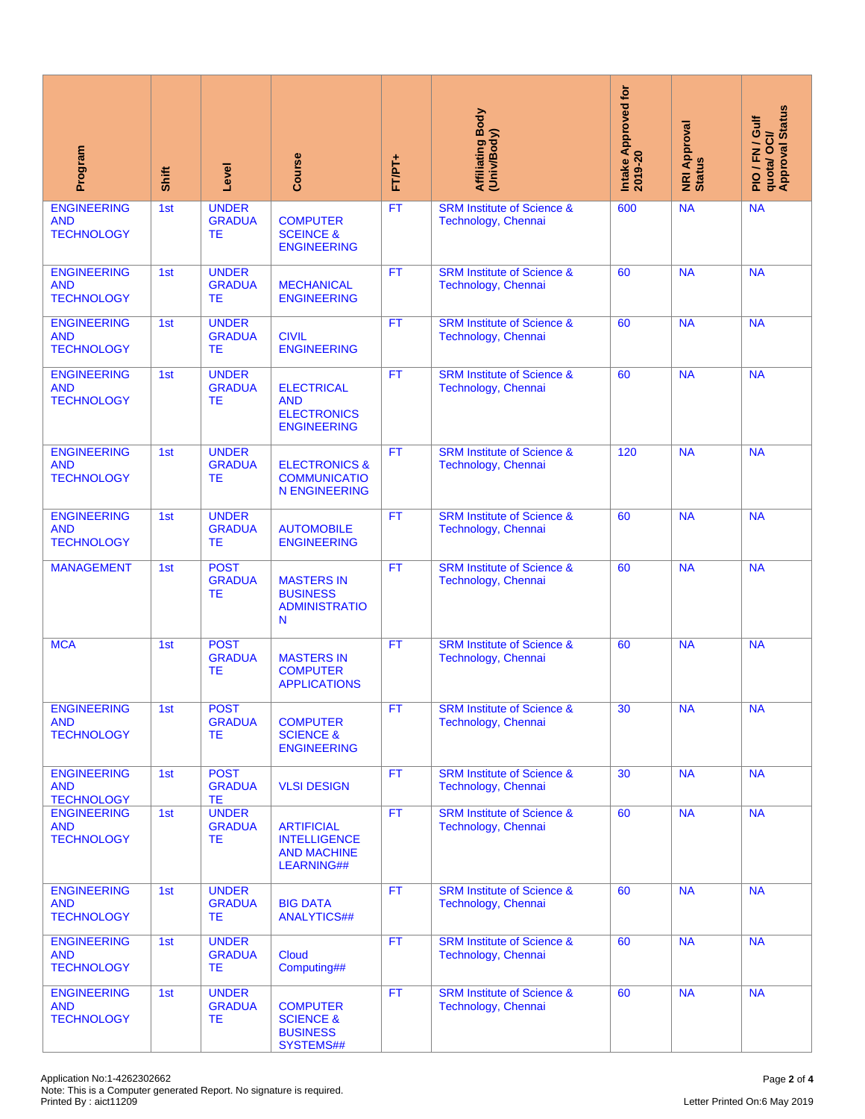| Program                                                                                                                      | Shift | Level                                      | Course                                                                       | FT/PT+    | <b>Affiliating Body</b><br>(Univ/Body)                              | Intake Approved for<br>2019-20 | <b>NRI Approval</b><br>Status | quota/ OCI/<br>Approval Status<br>PIO/FN/Gulf |
|------------------------------------------------------------------------------------------------------------------------------|-------|--------------------------------------------|------------------------------------------------------------------------------|-----------|---------------------------------------------------------------------|--------------------------------|-------------------------------|-----------------------------------------------|
| <b>ENGINEERING</b><br><b>AND</b><br><b>TECHNOLOGY</b>                                                                        | 1st   | <b>UNDER</b><br><b>GRADUA</b><br><b>TE</b> | <b>COMPUTER</b><br><b>SCEINCE &amp;</b><br><b>ENGINEERING</b>                | FT        | <b>SRM Institute of Science &amp;</b><br>600<br>Technology, Chennai |                                | <b>NA</b>                     | <b>NA</b>                                     |
| <b>ENGINEERING</b><br><b>AND</b><br><b>TECHNOLOGY</b>                                                                        | 1st   | <b>UNDER</b><br><b>GRADUA</b><br>ТE        | <b>MECHANICAL</b><br><b>ENGINEERING</b>                                      | <b>FT</b> | <b>SRM Institute of Science &amp;</b><br>Technology, Chennai        | 60                             | <b>NA</b>                     | <b>NA</b>                                     |
| <b>ENGINEERING</b><br><b>AND</b><br><b>TECHNOLOGY</b>                                                                        | 1st   | <b>UNDER</b><br><b>GRADUA</b><br>ТE        | <b>CIVIL</b><br><b>ENGINEERING</b>                                           | <b>FT</b> | <b>SRM Institute of Science &amp;</b><br>60<br>Technology, Chennai  |                                | <b>NA</b>                     | <b>NA</b>                                     |
| <b>ENGINEERING</b><br><b>AND</b><br><b>TECHNOLOGY</b>                                                                        | 1st   | <b>UNDER</b><br><b>GRADUA</b><br>ТE        | <b>ELECTRICAL</b><br><b>AND</b><br><b>ELECTRONICS</b><br><b>ENGINEERING</b>  | <b>FT</b> | <b>SRM Institute of Science &amp;</b><br>Technology, Chennai        | 60                             | <b>NA</b>                     | <b>NA</b>                                     |
| <b>ENGINEERING</b><br><b>AND</b><br><b>TECHNOLOGY</b>                                                                        | 1st   | <b>UNDER</b><br><b>GRADUA</b><br><b>TE</b> | <b>ELECTRONICS &amp;</b><br><b>COMMUNICATIO</b><br><b>N ENGINEERING</b>      | <b>FT</b> | <b>SRM Institute of Science &amp;</b><br>Technology, Chennai        | 120                            | <b>NA</b>                     | <b>NA</b>                                     |
| <b>ENGINEERING</b><br><b>AND</b><br><b>TECHNOLOGY</b>                                                                        | 1st   | <b>UNDER</b><br><b>GRADUA</b><br>ТE        | <b>AUTOMOBILE</b><br><b>ENGINEERING</b>                                      | <b>FT</b> | <b>SRM Institute of Science &amp;</b><br>Technology, Chennai        | 60                             | <b>NA</b>                     | <b>NA</b>                                     |
| <b>MANAGEMENT</b>                                                                                                            | 1st   | <b>POST</b><br><b>GRADUA</b><br><b>TE</b>  | <b>MASTERS IN</b><br><b>BUSINESS</b><br><b>ADMINISTRATIO</b><br>N            | <b>FT</b> | <b>SRM Institute of Science &amp;</b><br>Technology, Chennai        | 60                             | <b>NA</b>                     | <b>NA</b>                                     |
| <b>MCA</b>                                                                                                                   | 1st   | <b>POST</b><br><b>GRADUA</b><br>ТE         | <b>MASTERS IN</b><br><b>COMPUTER</b><br><b>APPLICATIONS</b>                  | FT        | <b>SRM Institute of Science &amp;</b><br>Technology, Chennai        | 60                             | <b>NA</b>                     | <b>NA</b>                                     |
| <b>ENGINEERING</b><br><b>AND</b><br><b>TECHNOLOGY</b>                                                                        | 1st   | <b>POST</b><br><b>GRADUA</b><br>ТE         | <b>COMPUTER</b><br><b>SCIENCE &amp;</b><br><b>ENGINEERING</b>                | FТ        | <b>SRM Institute of Science &amp;</b><br>Technology, Chennai        | 30                             | <b>NA</b>                     | <b>NA</b>                                     |
| <b>ENGINEERING</b><br><b>AND</b><br><b>TECHNOLOGY</b>                                                                        | 1st   | <b>POST</b><br><b>GRADUA</b><br><b>TE</b>  | <b>VLSI DESIGN</b>                                                           | <b>FT</b> | <b>SRM Institute of Science &amp;</b><br>Technology, Chennai        | 30                             | <b>NA</b>                     | <b>NA</b>                                     |
| <b>ENGINEERING</b><br><b>AND</b><br><b>TECHNOLOGY</b>                                                                        | 1st   | <b>UNDER</b><br><b>GRADUA</b><br>ТE        | <b>ARTIFICIAL</b><br><b>INTELLIGENCE</b><br><b>AND MACHINE</b><br>LEARNING## | FT.       | <b>SRM Institute of Science &amp;</b><br>Technology, Chennai        | 60                             | <b>NA</b>                     | <b>NA</b>                                     |
| <b>ENGINEERING</b><br><b>AND</b><br><b>TECHNOLOGY</b>                                                                        | 1st   | <b>UNDER</b><br><b>GRADUA</b><br>ТE        | <b>BIG DATA</b><br><b>ANALYTICS##</b>                                        | <b>FT</b> | <b>SRM Institute of Science &amp;</b><br>Technology, Chennai        |                                | <b>NA</b>                     | <b>NA</b>                                     |
| <b>ENGINEERING</b><br><b>AND</b><br><b>TECHNOLOGY</b>                                                                        | 1st   | <b>UNDER</b><br><b>GRADUA</b><br>TЕ        | <b>Cloud</b><br>Computing##                                                  | FT.       | <b>SRM Institute of Science &amp;</b><br>Technology, Chennai        | 60                             | <b>NA</b>                     | <b>NA</b>                                     |
| <b>ENGINEERING</b><br><b>AND</b><br><b>TECHNOLOGY</b>                                                                        | 1st   | <b>UNDER</b><br><b>GRADUA</b><br>TЕ        | <b>COMPUTER</b><br><b>SCIENCE &amp;</b><br><b>BUSINESS</b><br>SYSTEMS##      | <b>FT</b> | <b>SRM Institute of Science &amp;</b><br>Technology, Chennai        | 60                             | <b>NA</b>                     | <b>NA</b>                                     |
| Application No:1-4262302662<br>Note: This is a Computer generated Report. No signature is required.<br>Printed By: aict11209 |       |                                            |                                                                              |           |                                                                     |                                |                               | Page 2 of 4<br>Letter Printed On:6 May 2019   |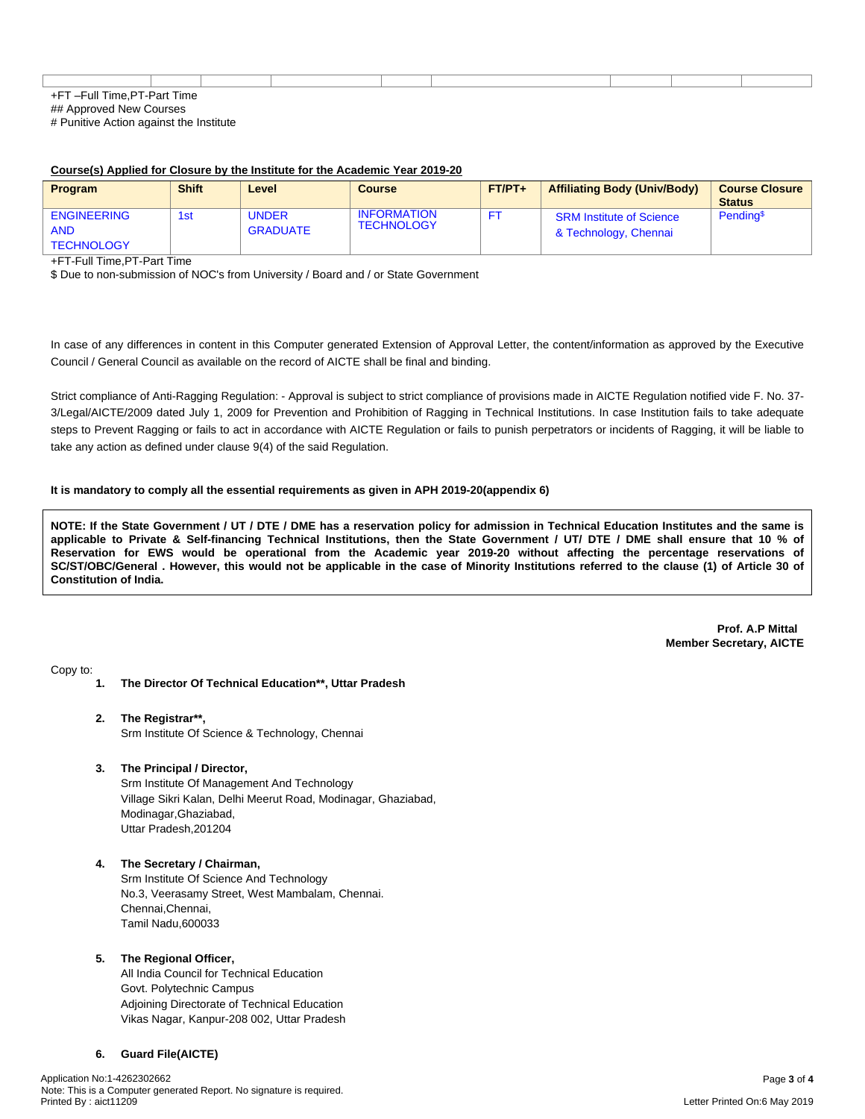| $-1$<br>--<br>Part<br><b>Time</b><br><b>IIMP</b><br>$-1$<br>. |  |  |  |  |  |  |  |  |
|---------------------------------------------------------------|--|--|--|--|--|--|--|--|

## Approved New Courses

# Punitive Action against the Institute

#### **Course(s) Applied for Closure by the Institute for the Academic Year 2019-20**

| <b>Program</b>                                        | <b>Shift</b> | Level                           | Course                                  | $FT/PT+$ | <b>Affiliating Body (Univ/Body)</b>                      | <b>Course Closure</b><br><b>Status</b> |
|-------------------------------------------------------|--------------|---------------------------------|-----------------------------------------|----------|----------------------------------------------------------|----------------------------------------|
| <b>ENGINEERING</b><br><b>AND</b><br><b>TECHNOLOGY</b> | 1st          | <b>UNDER</b><br><b>GRADUATE</b> | <b>INFORMATION</b><br><b>TECHNOLOGY</b> |          | <b>SRM Institute of Science</b><br>& Technology, Chennai | Pending <sup>\$</sup>                  |

+FT-Full Time,PT-Part Time

\$ Due to non-submission of NOC's from University / Board and / or State Government

In case of any differences in content in this Computer generated Extension of Approval Letter, the content/information as approved by the Executive Council / General Council as available on the record of AICTE shall be final and binding.

Strict compliance of Anti-Ragging Regulation: - Approval is subject to strict compliance of provisions made in AICTE Regulation notified vide F. No. 37- 3/Legal/AICTE/2009 dated July 1, 2009 for Prevention and Prohibition of Ragging in Technical Institutions. In case Institution fails to take adequate steps to Prevent Ragging or fails to act in accordance with AICTE Regulation or fails to punish perpetrators or incidents of Ragging, it will be liable to take any action as defined under clause 9(4) of the said Regulation.

#### **It is mandatory to comply all the essential requirements as given in APH 2019-20(appendix 6)**

NOTE: If the State Government / UT / DTE / DME has a reservation policy for admission in Technical Education Institutes and the same is applicable to Private & Self-financing Technical Institutions, then the State Government / UT/ DTE / DME shall ensure that 10 % of Reservation for EWS would be operational from the Academic year 2019-20 without affecting the percentage reservations of SC/ST/OBC/General . However, this would not be applicable in the case of Minority Institutions referred to the clause (1) of Article 30 of **Constitution of India.**

> **Prof. A.P Mittal Member Secretary, AICTE**

Copy to:

- **1. The Director Of Technical Education\*\*, Uttar Pradesh**
- **2. The Registrar\*\*,** Srm Institute Of Science & Technology, Chennai
- **3. The Principal / Director,**

Srm Institute Of Management And Technology Village Sikri Kalan, Delhi Meerut Road, Modinagar, Ghaziabad, Modinagar,Ghaziabad, Uttar Pradesh,201204

**4. The Secretary / Chairman,**

Srm Institute Of Science And Technology No.3, Veerasamy Street, West Mambalam, Chennai. Chennai,Chennai, Tamil Nadu,600033

## **5. The Regional Officer,**

All India Council for Technical Education Govt. Polytechnic Campus Adjoining Directorate of Technical Education Vikas Nagar, Kanpur-208 002, Uttar Pradesh

## **6. Guard File(AICTE)**